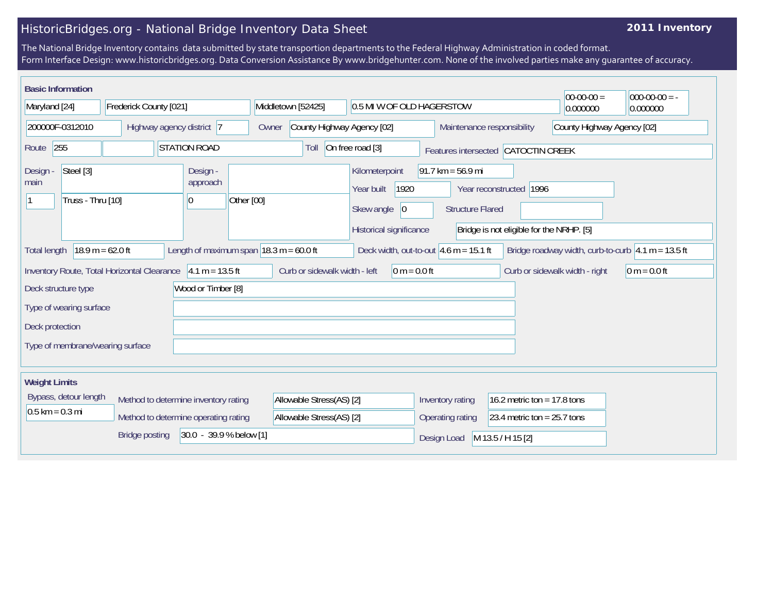## HistoricBridges.org - National Bridge Inventory Data Sheet

## **2011 Inventory**

The National Bridge Inventory contains data submitted by state transportion departments to the Federal Highway Administration in coded format. Form Interface Design: www.historicbridges.org. Data Conversion Assistance By www.bridgehunter.com. None of the involved parties make any guarantee of accuracy.

| <b>Basic Information</b>                           |                                             |                                      |                                                             |                                                                                              |                                                                |                                                                     | $ 00-00-00 $                   | $000-00-00 = -$                                                        |
|----------------------------------------------------|---------------------------------------------|--------------------------------------|-------------------------------------------------------------|----------------------------------------------------------------------------------------------|----------------------------------------------------------------|---------------------------------------------------------------------|--------------------------------|------------------------------------------------------------------------|
| Maryland [24]<br>Frederick County [021]            |                                             | Middletown [52425]                   | 0.5 MI W OF OLD HAGERSTOW                                   |                                                                                              | 0.000000                                                       | 0.000000                                                            |                                |                                                                        |
| 200000F-0312010<br>Highway agency district 7       |                                             | Owner                                | County Highway Agency [02]<br>Maintenance responsibility    |                                                                                              | County Highway Agency [02]                                     |                                                                     |                                |                                                                        |
| 255<br>Route                                       |                                             | <b>STATION ROAD</b>                  | Toll                                                        | On free road [3]                                                                             | Features intersected CATOCTIN CREEK                            |                                                                     |                                |                                                                        |
| Steel [3]<br>Design -<br>main<br>Truss - Thru [10] |                                             | Design -<br>approach<br> 0           | Other [00]                                                  | Kilometerpoint<br>1920<br>Year built<br>Skew angle<br>$ 0\rangle$<br>Historical significance | $91.7 \text{ km} = 56.9 \text{ mi}$<br><b>Structure Flared</b> | Year reconstructed 1996<br>Bridge is not eligible for the NRHP. [5] |                                |                                                                        |
| <b>Total length</b>                                | $18.9 m = 62.0 ft$                          |                                      | Length of maximum span $ 18.3 \text{ m} = 60.0 \text{ ft} $ | Deck width, out-to-out $4.6$ m = 15.1 ft                                                     |                                                                |                                                                     |                                | Bridge roadway width, curb-to-curb $ 4.1 \text{ m} = 13.5 \text{ ft} $ |
|                                                    | Inventory Route, Total Horizontal Clearance | $4.1 m = 13.5 ft$                    | Curb or sidewalk width - left                               | $0 m = 0.0 ft$                                                                               |                                                                |                                                                     | Curb or sidewalk width - right | $ 0 m = 0.0 ft$                                                        |
| Deck structure type                                |                                             | Wood or Timber [8]                   |                                                             |                                                                                              |                                                                |                                                                     |                                |                                                                        |
| Type of wearing surface                            |                                             |                                      |                                                             |                                                                                              |                                                                |                                                                     |                                |                                                                        |
| Deck protection                                    |                                             |                                      |                                                             |                                                                                              |                                                                |                                                                     |                                |                                                                        |
| Type of membrane/wearing surface                   |                                             |                                      |                                                             |                                                                                              |                                                                |                                                                     |                                |                                                                        |
| <b>Weight Limits</b>                               |                                             |                                      |                                                             |                                                                                              |                                                                |                                                                     |                                |                                                                        |
| Bypass, detour length                              |                                             | Method to determine inventory rating | Allowable Stress(AS) [2]                                    |                                                                                              | Inventory rating                                               | 16.2 metric ton = $17.8$ tons                                       |                                |                                                                        |
| $0.5$ km = 0.3 mi                                  |                                             | Method to determine operating rating | Allowable Stress(AS) [2]                                    |                                                                                              | Operating rating                                               | 23.4 metric ton = $25.7$ tons                                       |                                |                                                                        |
| 30.0 - 39.9 % below [1]<br><b>Bridge posting</b>   |                                             |                                      |                                                             | M 13.5 / H 15 [2]<br>Design Load                                                             |                                                                |                                                                     |                                |                                                                        |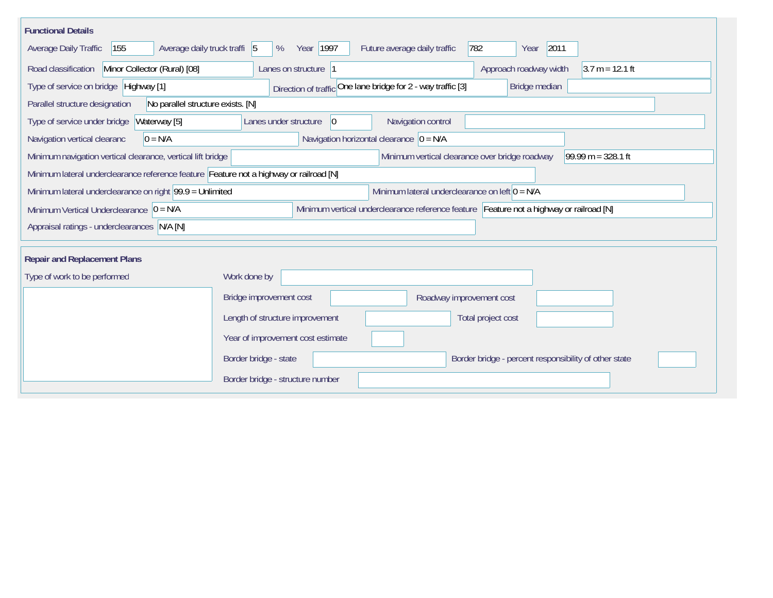| <b>Functional Details</b>                                                              |                                                                                         |
|----------------------------------------------------------------------------------------|-----------------------------------------------------------------------------------------|
| 155<br>Average daily truck traffi 5<br>Average Daily Traffic                           | 782<br>2011<br>Year 1997<br>Future average daily traffic<br>%<br>Year                   |
| Road classification<br>Minor Collector (Rural) [08]                                    | $3.7 m = 12.1 ft$<br>Lanes on structure 1<br>Approach roadway width                     |
| Type of service on bridge Highway [1]                                                  | Direction of traffic One lane bridge for 2 - way traffic [3]<br>Bridge median           |
| No parallel structure exists. [N]<br>Parallel structure designation                    |                                                                                         |
| Type of service under bridge<br>Waterway [5]                                           | 0 <br>Navigation control<br>Lanes under structure                                       |
| $0 = N/A$<br>Navigation vertical clearanc                                              | Navigation horizontal clearance $ 0 = N/A $                                             |
| Minimum navigation vertical clearance, vertical lift bridge                            | Minimum vertical clearance over bridge roadway<br>99.99 m = $328.1$ ft                  |
| Minimum lateral underclearance reference feature Feature not a highway or railroad [N] |                                                                                         |
| Minimum lateral underclearance on right 99.9 = Unlimited                               | Minimum lateral underclearance on left $0 = N/A$                                        |
| Minimum Vertical Underclearance $ 0 = N/A $                                            | Minimum vertical underclearance reference feature Feature not a highway or railroad [N] |
| Appraisal ratings - underclearances N/A [N]                                            |                                                                                         |
| <b>Repair and Replacement Plans</b>                                                    |                                                                                         |
| Type of work to be performed                                                           | Work done by                                                                            |
|                                                                                        |                                                                                         |
|                                                                                        | Bridge improvement cost<br>Roadway improvement cost                                     |
|                                                                                        | Length of structure improvement<br>Total project cost                                   |
|                                                                                        | Year of improvement cost estimate                                                       |
|                                                                                        | Border bridge - state<br>Border bridge - percent responsibility of other state          |
|                                                                                        | Border bridge - structure number                                                        |